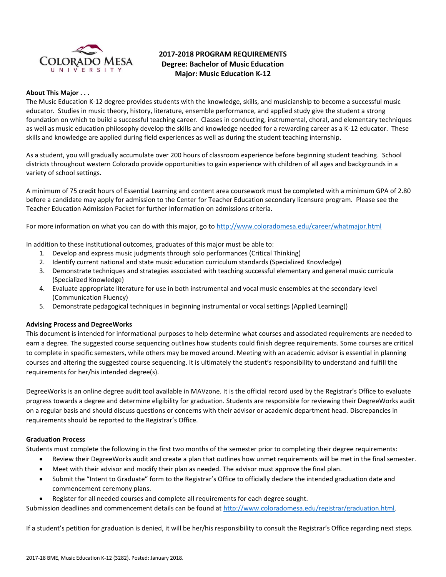

## **2017-2018 PROGRAM REQUIREMENTS Degree: Bachelor of Music Education Major: Music Education K-12**

## **About This Major . . .**

The Music Education K-12 degree provides students with the knowledge, skills, and musicianship to become a successful music educator. Studies in music theory, history, literature, ensemble performance, and applied study give the student a strong foundation on which to build a successful teaching career. Classes in conducting, instrumental, choral, and elementary techniques as well as music education philosophy develop the skills and knowledge needed for a rewarding career as a K-12 educator. These skills and knowledge are applied during field experiences as well as during the student teaching internship.

As a student, you will gradually accumulate over 200 hours of classroom experience before beginning student teaching. School districts throughout western Colorado provide opportunities to gain experience with children of all ages and backgrounds in a variety of school settings.

A minimum of 75 credit hours of Essential Learning and content area coursework must be completed with a minimum GPA of 2.80 before a candidate may apply for admission to the Center for Teacher Education secondary licensure program. Please see the Teacher Education Admission Packet for further information on admissions criteria.

For more information on what you can do with this major, go to<http://www.coloradomesa.edu/career/whatmajor.html>

In addition to these institutional outcomes, graduates of this major must be able to:

- 1. Develop and express music judgments through solo performances (Critical Thinking)
- 2. Identify current national and state music education curriculum standards (Specialized Knowledge)
- 3. Demonstrate techniques and strategies associated with teaching successful elementary and general music curricula (Specialized Knowledge)
- 4. Evaluate appropriate literature for use in both instrumental and vocal music ensembles at the secondary level (Communication Fluency)
- 5. Demonstrate pedagogical techniques in beginning instrumental or vocal settings (Applied Learning))

#### **Advising Process and DegreeWorks**

This document is intended for informational purposes to help determine what courses and associated requirements are needed to earn a degree. The suggested course sequencing outlines how students could finish degree requirements. Some courses are critical to complete in specific semesters, while others may be moved around. Meeting with an academic advisor is essential in planning courses and altering the suggested course sequencing. It is ultimately the student's responsibility to understand and fulfill the requirements for her/his intended degree(s).

DegreeWorks is an online degree audit tool available in MAVzone. It is the official record used by the Registrar's Office to evaluate progress towards a degree and determine eligibility for graduation. Students are responsible for reviewing their DegreeWorks audit on a regular basis and should discuss questions or concerns with their advisor or academic department head. Discrepancies in requirements should be reported to the Registrar's Office.

#### **Graduation Process**

Students must complete the following in the first two months of the semester prior to completing their degree requirements:

- Review their DegreeWorks audit and create a plan that outlines how unmet requirements will be met in the final semester.
- Meet with their advisor and modify their plan as needed. The advisor must approve the final plan.
- Submit the "Intent to Graduate" form to the Registrar's Office to officially declare the intended graduation date and commencement ceremony plans.
- Register for all needed courses and complete all requirements for each degree sought.

Submission deadlines and commencement details can be found at [http://www.coloradomesa.edu/registrar/graduation.html.](http://www.coloradomesa.edu/registrar/graduation.html)

If a student's petition for graduation is denied, it will be her/his responsibility to consult the Registrar's Office regarding next steps.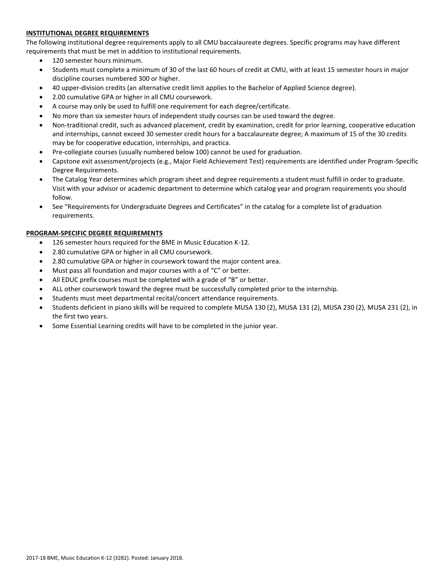## **INSTITUTIONAL DEGREE REQUIREMENTS**

The following institutional degree requirements apply to all CMU baccalaureate degrees. Specific programs may have different requirements that must be met in addition to institutional requirements.

- 120 semester hours minimum.
- Students must complete a minimum of 30 of the last 60 hours of credit at CMU, with at least 15 semester hours in major discipline courses numbered 300 or higher.
- 40 upper-division credits (an alternative credit limit applies to the Bachelor of Applied Science degree).
- 2.00 cumulative GPA or higher in all CMU coursework.
- A course may only be used to fulfill one requirement for each degree/certificate.
- No more than six semester hours of independent study courses can be used toward the degree.
- Non-traditional credit, such as advanced placement, credit by examination, credit for prior learning, cooperative education and internships, cannot exceed 30 semester credit hours for a baccalaureate degree; A maximum of 15 of the 30 credits may be for cooperative education, internships, and practica.
- Pre-collegiate courses (usually numbered below 100) cannot be used for graduation.
- Capstone exit assessment/projects (e.g., Major Field Achievement Test) requirements are identified under Program-Specific Degree Requirements.
- The Catalog Year determines which program sheet and degree requirements a student must fulfill in order to graduate. Visit with your advisor or academic department to determine which catalog year and program requirements you should follow.
- See "Requirements for Undergraduate Degrees and Certificates" in the catalog for a complete list of graduation requirements.

## **PROGRAM-SPECIFIC DEGREE REQUIREMENTS**

- 126 semester hours required for the BME in Music Education K-12.
- 2.80 cumulative GPA or higher in all CMU coursework.
- 2.80 cumulative GPA or higher in coursework toward the major content area.
- Must pass all foundation and major courses with a of "C" or better.
- All EDUC prefix courses must be completed with a grade of "B" or better.
- ALL other coursework toward the degree must be successfully completed prior to the internship.
- Students must meet departmental recital/concert attendance requirements.
- Students deficient in piano skills will be required to complete MUSA 130 (2), MUSA 131 (2), MUSA 230 (2), MUSA 231 (2), in the first two years.
- Some Essential Learning credits will have to be completed in the junior year.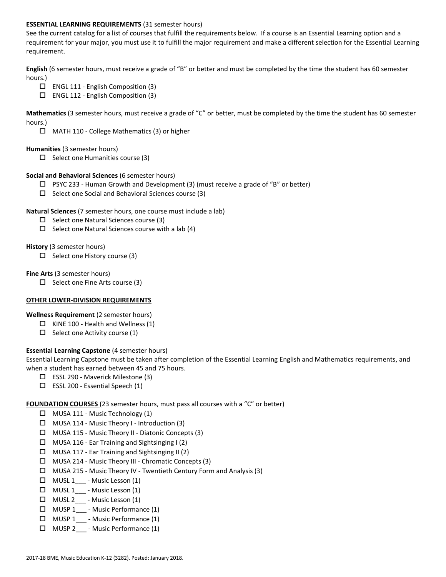#### **ESSENTIAL LEARNING REQUIREMENTS** (31 semester hours)

See the current catalog for a list of courses that fulfill the requirements below. If a course is an Essential Learning option and a requirement for your major, you must use it to fulfill the major requirement and make a different selection for the Essential Learning requirement.

**English** (6 semester hours, must receive a grade of "B" or better and must be completed by the time the student has 60 semester hours.)

- $\Box$  ENGL 111 English Composition (3)
- $\Box$  ENGL 112 English Composition (3)

**Mathematics** (3 semester hours, must receive a grade of "C" or better, must be completed by the time the student has 60 semester hours.)

MATH 110 - College Mathematics (3) or higher

#### **Humanities** (3 semester hours)

 $\Box$  Select one Humanities course (3)

#### **Social and Behavioral Sciences** (6 semester hours)

- $\Box$  PSYC 233 Human Growth and Development (3) (must receive a grade of "B" or better)
- $\square$  Select one Social and Behavioral Sciences course (3)

#### **Natural Sciences** (7 semester hours, one course must include a lab)

- $\square$  Select one Natural Sciences course (3)
- $\Box$  Select one Natural Sciences course with a lab (4)

#### **History** (3 semester hours)

 $\Box$  Select one History course (3)

#### **Fine Arts** (3 semester hours)

 $\Box$  Select one Fine Arts course (3)

#### **OTHER LOWER-DIVISION REQUIREMENTS**

**Wellness Requirement** (2 semester hours)

- $\Box$  KINE 100 Health and Wellness (1)
- $\square$  Select one Activity course (1)

## **Essential Learning Capstone** (4 semester hours)

Essential Learning Capstone must be taken after completion of the Essential Learning English and Mathematics requirements, and when a student has earned between 45 and 75 hours.

- ESSL 290 Maverick Milestone (3)
- $\square$  ESSL 200 Essential Speech (1)

## **FOUNDATION COURSES** (23 semester hours, must pass all courses with a "C" or better)

- $\Box$  MUSA 111 Music Technology (1)
- $\Box$  MUSA 114 Music Theory I Introduction (3)
- MUSA 115 Music Theory II Diatonic Concepts (3)
- $\Box$  MUSA 116 Ear Training and Sightsinging I (2)
- $\Box$  MUSA 117 Ear Training and Sightsinging II (2)
- MUSA 214 Music Theory III Chromatic Concepts (3)
- MUSA 215 Music Theory IV Twentieth Century Form and Analysis (3)
- $\Box$  MUSL 1<sub>\_\_\_</sub> Music Lesson (1)
- $\Box$  MUSL 1 Music Lesson (1)
- $\Box$  MUSL 2\_\_\_ Music Lesson (1)
- □ MUSP 1 Music Performance (1)
- MUSP 1\_\_\_ Music Performance (1)
- MUSP 2\_\_\_ Music Performance (1)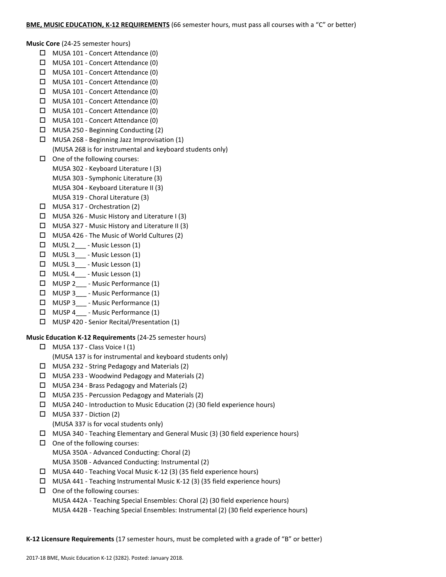**Music Core** (24-25 semester hours)

- MUSA 101 Concert Attendance (0)
- MUSA 101 Concert Attendance (0)
- MUSA 101 Concert Attendance (0)
- $\Box$  MUSA 101 Concert Attendance (0)
- MUSA 101 Concert Attendance (0)
- $\Box$  MUSA 101 Concert Attendance (0)
- MUSA 101 Concert Attendance (0)
- MUSA 101 Concert Attendance (0)
- MUSA 250 Beginning Conducting (2)
- MUSA 268 Beginning Jazz Improvisation (1) (MUSA 268 is for instrumental and keyboard students only)
- $\Box$  One of the following courses:
	- MUSA 302 Keyboard Literature I (3)
	- MUSA 303 Symphonic Literature (3)
	- MUSA 304 Keyboard Literature II (3)
	- MUSA 319 Choral Literature (3)
- MUSA 317 Orchestration (2)
- MUSA 326 Music History and Literature I (3)
- $\Box$  MUSA 327 Music History and Literature II (3)
- MUSA 426 The Music of World Cultures (2)
- $\Box$  MUSL 2 Music Lesson (1)
- MUSL 3\_\_\_ Music Lesson (1)
- □ MUSL 3 Music Lesson (1)
- $\Box$  MUSL 4 Music Lesson (1)
- MUSP 2\_\_\_ Music Performance (1)
- $\Box$  MUSP 3 Music Performance (1)
- □ MUSP 3 Music Performance (1)
- MUSP 4\_\_\_ Music Performance (1)
- MUSP 420 Senior Recital/Presentation (1)

## **Music Education K-12 Requirements** (24-25 semester hours)

- $\Box$  MUSA 137 Class Voice I (1)
	- (MUSA 137 is for instrumental and keyboard students only)
- MUSA 232 String Pedagogy and Materials (2)
- $\Box$  MUSA 233 Woodwind Pedagogy and Materials (2)
- MUSA 234 Brass Pedagogy and Materials (2)
- $\Box$  MUSA 235 Percussion Pedagogy and Materials (2)
- MUSA 240 Introduction to Music Education (2) (30 field experience hours)
- $\Box$  MUSA 337 Diction (2) (MUSA 337 is for vocal students only)
- $\Box$  MUSA 340 Teaching Elementary and General Music (3) (30 field experience hours)
- $\Box$  One of the following courses: MUSA 350A - Advanced Conducting: Choral (2) MUSA 350B - Advanced Conducting: Instrumental (2)
- MUSA 440 Teaching Vocal Music K-12 (3) (35 field experience hours)
- $\Box$  MUSA 441 Teaching Instrumental Music K-12 (3) (35 field experience hours)

# $\Box$  One of the following courses:

MUSA 442A - Teaching Special Ensembles: Choral (2) (30 field experience hours) MUSA 442B - Teaching Special Ensembles: Instrumental (2) (30 field experience hours)

**K-12 Licensure Requirements** (17 semester hours, must be completed with a grade of "B" or better)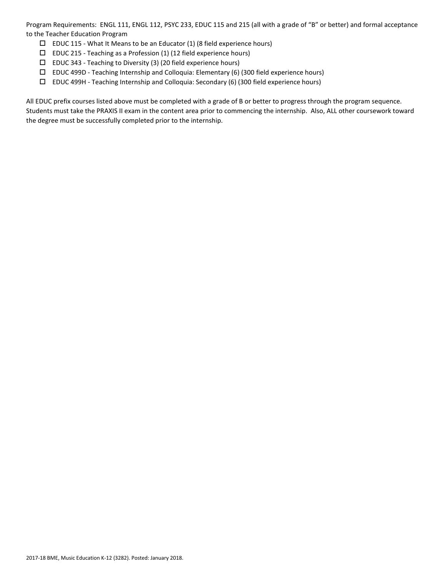Program Requirements: ENGL 111, ENGL 112, PSYC 233, EDUC 115 and 215 (all with a grade of "B" or better) and formal acceptance to the Teacher Education Program

- $\square$  EDUC 115 What It Means to be an Educator (1) (8 field experience hours)
- EDUC 215 Teaching as a Profession (1) (12 field experience hours)
- $\square$  EDUC 343 Teaching to Diversity (3) (20 field experience hours)
- EDUC 499D Teaching Internship and Colloquia: Elementary (6) (300 field experience hours)
- EDUC 499H Teaching Internship and Colloquia: Secondary (6) (300 field experience hours)

All EDUC prefix courses listed above must be completed with a grade of B or better to progress through the program sequence. Students must take the PRAXIS II exam in the content area prior to commencing the internship. Also, ALL other coursework toward the degree must be successfully completed prior to the internship.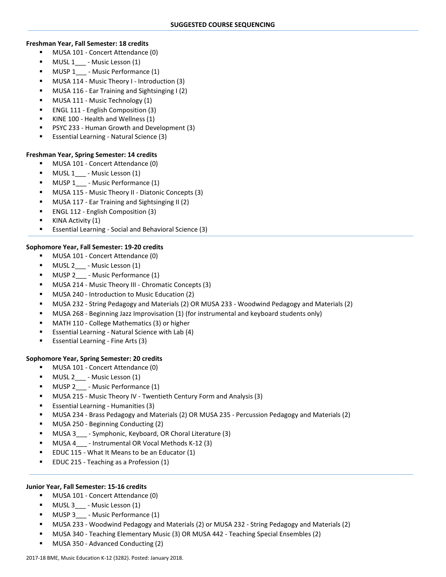#### **Freshman Year, Fall Semester: 18 credits**

- **MUSA 101 Concert Attendance (0)**
- MUSL 1\_\_\_ Music Lesson (1)
- MUSP 1 Music Performance (1)
- MUSA 114 Music Theory I Introduction (3)
- MUSA 116 Ear Training and Sightsinging I (2)
- MUSA 111 Music Technology (1)
- ENGL 111 English Composition (3)
- KINE 100 Health and Wellness (1)
- PSYC 233 Human Growth and Development (3)
- Essential Learning Natural Science (3)

## **Freshman Year, Spring Semester: 14 credits**

- MUSA 101 Concert Attendance (0)
- MUSL 1 Music Lesson (1)
- **NUSP 1** Music Performance (1)
- MUSA 115 Music Theory II Diatonic Concepts (3)
- MUSA 117 Ear Training and Sightsinging II (2)
- ENGL 112 English Composition (3)
- KINA Activity (1)
- Essential Learning Social and Behavioral Science (3)

## **Sophomore Year, Fall Semester: 19-20 credits**

- MUSA 101 Concert Attendance (0)
- MUSL 2\_\_\_ Music Lesson (1)
- MUSP 2 Music Performance (1)
- MUSA 214 Music Theory III Chromatic Concepts (3)
- MUSA 240 Introduction to Music Education (2)
- MUSA 232 String Pedagogy and Materials (2) OR MUSA 233 Woodwind Pedagogy and Materials (2)
- MUSA 268 Beginning Jazz Improvisation (1) (for instrumental and keyboard students only)
- MATH 110 College Mathematics (3) or higher
- Essential Learning Natural Science with Lab (4)
- Essential Learning Fine Arts (3)

## **Sophomore Year, Spring Semester: 20 credits**

- MUSA 101 Concert Attendance (0)
- MUSL 2\_\_\_ Music Lesson (1)
- MUSP 2 Music Performance (1)
- MUSA 215 Music Theory IV Twentieth Century Form and Analysis (3)
- **Essential Learning Humanities (3)**
- MUSA 234 Brass Pedagogy and Materials (2) OR MUSA 235 Percussion Pedagogy and Materials (2)
- MUSA 250 Beginning Conducting (2)
- MUSA 3 Symphonic, Keyboard, OR Choral Literature (3)
- MUSA 4 Instrumental OR Vocal Methods K-12 (3)
- EDUC 115 What It Means to be an Educator (1)
- EDUC 215 Teaching as a Profession (1)

## **Junior Year, Fall Semester: 15-16 credits**

- **MUSA 101 Concert Attendance (0)**
- MUSL 3\_\_\_ Music Lesson (1)
- MUSP 3 Music Performance (1)
- MUSA 233 Woodwind Pedagogy and Materials (2) or MUSA 232 String Pedagogy and Materials (2)
- MUSA 340 Teaching Elementary Music (3) OR MUSA 442 Teaching Special Ensembles (2)
- MUSA 350 Advanced Conducting (2)